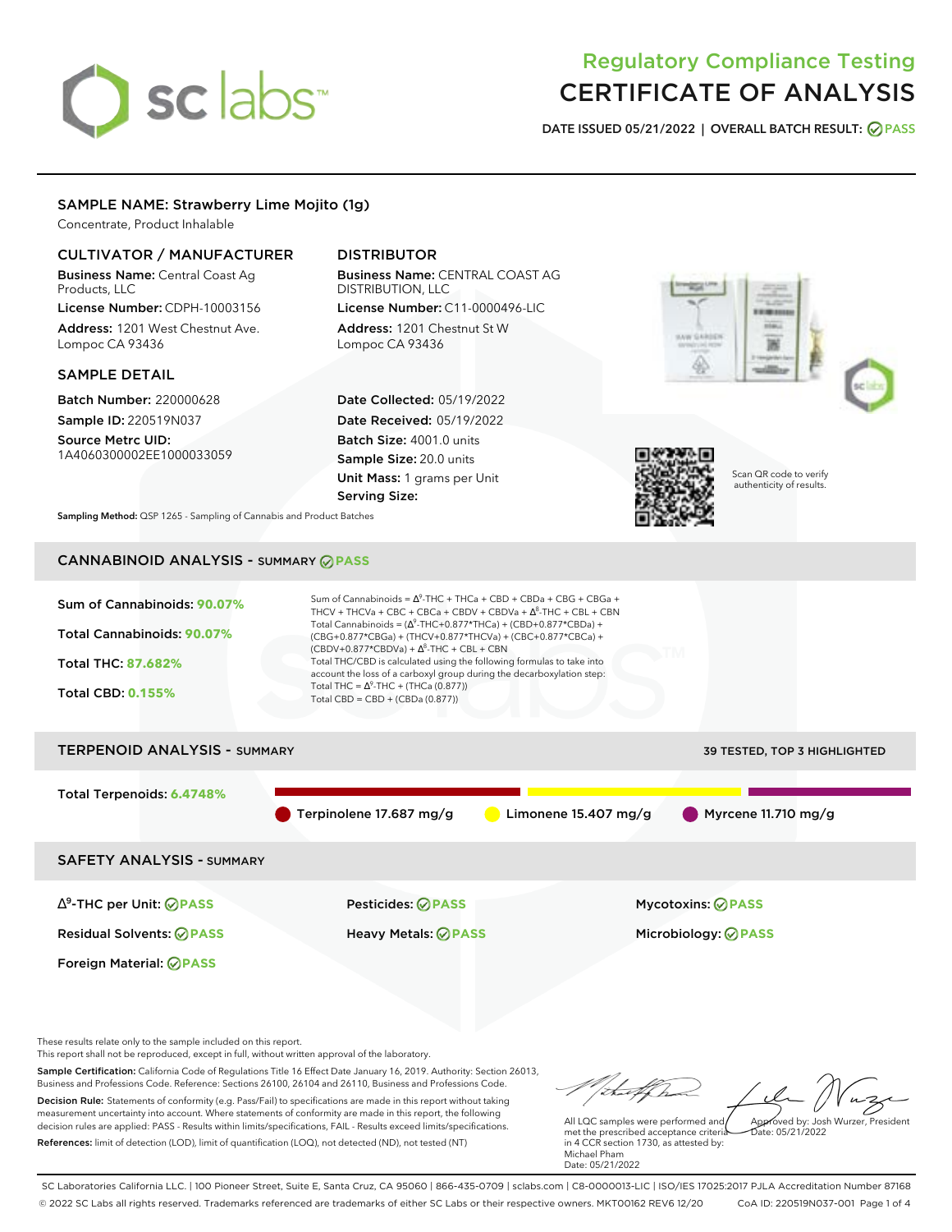# sclabs<sup>\*</sup>

# Regulatory Compliance Testing CERTIFICATE OF ANALYSIS

**DATE ISSUED 05/21/2022 | OVERALL BATCH RESULT: PASS**

### SAMPLE NAME: Strawberry Lime Mojito (1g)

Concentrate, Product Inhalable

### CULTIVATOR / MANUFACTURER

Business Name: Central Coast Ag Products, LLC

License Number: CDPH-10003156 Address: 1201 West Chestnut Ave. Lompoc CA 93436

#### SAMPLE DETAIL

Batch Number: 220000628 Sample ID: 220519N037

Source Metrc UID: 1A4060300002EE1000033059

## DISTRIBUTOR

Business Name: CENTRAL COAST AG DISTRIBUTION, LLC License Number: C11-0000496-LIC

Address: 1201 Chestnut St W Lompoc CA 93436

Date Collected: 05/19/2022 Date Received: 05/19/2022 Batch Size: 4001.0 units Sample Size: 20.0 units Unit Mass: 1 grams per Unit Serving Size:







Scan QR code to verify authenticity of results.

**Sampling Method:** QSP 1265 - Sampling of Cannabis and Product Batches

# CANNABINOID ANALYSIS - SUMMARY **PASS**

Sum of Cannabinoids: **90.07%** Total Cannabinoids: **90.07%** Total THC: **87.682%** Total CBD: **0.155%** Sum of Cannabinoids =  $\Delta^9$ -THC + THCa + CBD + CBDa + CBG + CBGa + THCV + THCVa + CBC + CBCa + CBDV + CBDVa +  $\Delta^8$ -THC + CBL + CBN Total Cannabinoids = ( $\Delta^9$ -THC+0.877\*THCa) + (CBD+0.877\*CBDa) + (CBG+0.877\*CBGa) + (THCV+0.877\*THCVa) + (CBC+0.877\*CBCa) +  $(CBDV+0.877*CBDVa) + \Delta^8$ -THC + CBL + CBN Total THC/CBD is calculated using the following formulas to take into account the loss of a carboxyl group during the decarboxylation step: Total THC =  $\Delta^9$ -THC + (THCa (0.877)) Total CBD = CBD + (CBDa (0.877)) TERPENOID ANALYSIS - SUMMARY 39 TESTED, TOP 3 HIGHLIGHTED Total Terpenoids: **6.4748%** Terpinolene 17.687 mg/g Limonene 15.407 mg/g Myrcene 11.710 mg/g

SAFETY ANALYSIS - SUMMARY

∆ 9 -THC per Unit: **PASS** Pesticides: **PASS** Mycotoxins: **PASS**

Foreign Material: **PASS**

Residual Solvents: **PASS** Heavy Metals: **PASS** Microbiology: **PASS**

These results relate only to the sample included on this report.

This report shall not be reproduced, except in full, without written approval of the laboratory.

Sample Certification: California Code of Regulations Title 16 Effect Date January 16, 2019. Authority: Section 26013, Business and Professions Code. Reference: Sections 26100, 26104 and 26110, Business and Professions Code. Decision Rule: Statements of conformity (e.g. Pass/Fail) to specifications are made in this report without taking measurement uncertainty into account. Where statements of conformity are made in this report, the following decision rules are applied: PASS - Results within limits/specifications, FAIL - Results exceed limits/specifications.

References: limit of detection (LOD), limit of quantification (LOQ), not detected (ND), not tested (NT)

Approved by: Josh Wurzer, President

 $hat: 05/21/2022$ 

All LQC samples were performed and met the prescribed acceptance criteria in 4 CCR section 1730, as attested by: Michael Pham Date: 05/21/2022

SC Laboratories California LLC. | 100 Pioneer Street, Suite E, Santa Cruz, CA 95060 | 866-435-0709 | sclabs.com | C8-0000013-LIC | ISO/IES 17025:2017 PJLA Accreditation Number 87168 © 2022 SC Labs all rights reserved. Trademarks referenced are trademarks of either SC Labs or their respective owners. MKT00162 REV6 12/20 CoA ID: 220519N037-001 Page 1 of 4